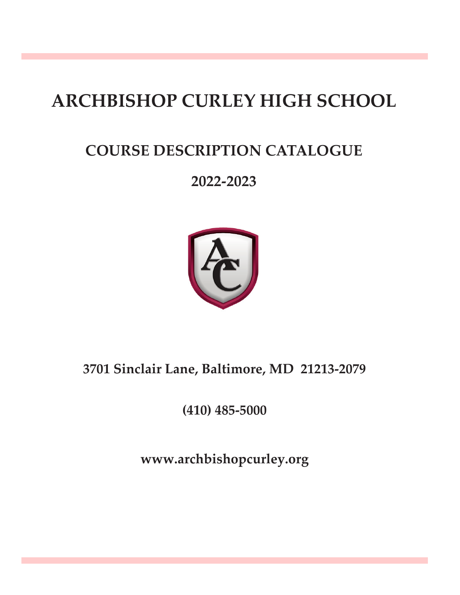# **ARCHBISHOP CURLEY HIGH SCHOOL**

# **COURSE DESCRIPTION CATALOGUE**

# **2022-2023**



# **3701 Sinclair Lane, Baltimore, MD 21213-2079**

**(410) 485-5000**

**www.archbishopcurley.org**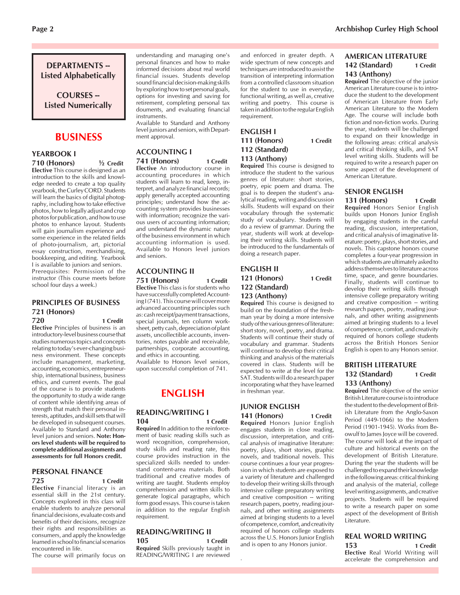# **DEPARTMENTS -- Listed Alphabetically**

**COURSES -- Listed Numerically**

# **BUSINESS**

#### **YEARBOOK I 710 (Honors) ½ Credit**

**Elective** This course is designed as an introduction to the skills and knowledge needed to create a top quality yearbook, the Curley CORD. Students will learn the basics of digital photography, including how to take effective photos, how to legally adjust and crop photos for publication, and how to use photos to enhance layout. Students will gain journalism experience and some experience in the related fields of photo-journalism, art, pictorial essay construction, merchandising, bookkeeping, and editing. Yearbook I is available to juniors and seniors. Prerequisites: Permission of the instructor (This course meets before school four days a week.)

#### **PRINCIPLES OF BUSINESS 721 (Honors) 720 1 Credit**

**Elective** Principles of business is an introductory-level business course that studies numerous topics and concepts relating to today's ever-changing business environment. These concepts include management, marketing, accounting, economics, entrepreneurship, international business, business ethics, and current events. The goal of the course is to provide students the opportunity to study a wide range of content while identifying areas of strength that match their personal interests, aptitudes, and skill sets that will be developed in subsequent courses. Available to Standard and Anthony level juniors and seniors. **Note: Honors level students will be required to complete additional assignments and assessments for full Honors credit.**

#### **PERSONAL FINANCE**

#### **725 1 Credit**

**Elective** Financial literacy is an essential skill in the 21st century. Concepts explored in this class will enable students to analyze personal financial decisions, evaluate costs and benefits of their decisions, recognize their rights and responsibilities as consumers, and apply the knowledge learned in school to financial scenarios encountered in life.

The course will primarily focus on

understanding and managing one's personal finances and how to make informed decisions about real world financial issues. Students develop sound financial decision-making skills by exploring how to set personal goals, options for investing and saving for retirement, completing personal tax douments, and evaluating financial instruments.

Available to Standard and Anthony level juniors and seniors, with Department approval.

#### **ACCOUNTING I**

#### **741 (Honors) 1 Credit Elective** An introductory course in accounting procedures in which

students will learn to read, keep, interpret, and analyze financial records; apply generally accepted accounting principles; understand how the accounting system provides businesses with information; recognize the various users of accounting information; and understand the dynamic nature of the business environment in which accounting information is used. Available to Honors level juniors and seniors.

#### **ACCOUNTING II 751 (Honors) 1 Credit**

**Elective** This class is for students who have successfully completed Accounting I (741). This course will cover more advanced accounting principles such as: cash receipt/payment transactions, special journals, ten column worksheet, petty cash, depreciation of plant assets, uncollectible accounts, inventories, notes payable and receivable, partnerships, corporate accounting, and ethics in accounting.

Available to Honors level seniors, upon successful completion of 741.

# **ENGLISH**

#### **READING/WRITING I 104 1 Credit**

**Required** In addition to the reinforcement of basic reading skills such as word recognition, comprehension, study skills and reading rate, this course provides instruction in the specialized skills needed to understand content-area materials. Both traditional and creative modes of writing are taught. Students employ comprehension and written skills to generate logical paragraphs, which form good essays. This course is taken in addition to the regular English requirement.

#### **READING/WRITING II 105 1 Credit**

**Required** Skills previously taught in READING/WRITING I are reviewed

.

and enforced in greater depth. A wide spectrum of new concepts and techniques are introduced to assist the transition of interpreting information from a controlled classroom situation for the student to use in everyday, functional writing, as well as, creative writing and poetry. This course is taken in addition to the regular English requirement.

#### **ENGLISH I** 111 (Honors) 1 Credit **112 (Standard) 113 (Anthony)**

**Required** This course is designed to introduce the student to the various genres of literature: short stories, poetry, epic poem and drama. The goal is to deepen the student's analytical reading, writing and discussion skills. Students will expand on their vocabulary through the systematic study of vocabulary. Students will do a review of grammar. During the year, students will work at developing their writing skills. Students will be introduced to the fundamentals of doing a research paper.

## **ENGLISH II 121 (Honors) 1 Credit 122 (Standard) 123 (Anthony)**

**Required** This course is designed to build on the foundation of the freshman year by doing a more intensive study of the various genres of literature: short story, novel, poetry, and drama. Students will continue their study of vocabulary and grammar. Students will continue to develop their critical thinking and analysis of the materials covered in class. Students will be expected to write at the level for the SAT. Students will do a research paper incorporating what they have learned in freshman year.

#### **JUNIOR ENGLISH 141 (Honors) 1 Credit**

**Required** Honors Junior English engages students in close reading, discussion, interpretation, and critical analysis of imaginative literature: poetry, plays, short stories, graphic novels, and traditional novels. This course continues a four year progression in which students are exposed to a variety of literature and challenged to develop their writing skills through intensive college preparatory writing and creative composition -- writing research papers, poetry, reading journals, and other writing assignments aimed at bringing students to a level of competence, comfort, and creativity required of honors college students across the U.S. Honors Junior English and is open to any Honors junior.

#### **AMERICAN LITERATURE**  142 (Standard) 1 Credit **143 (Anthony)**

**Required** The objective of the junior American Literature course is to introduce the student to the development of American Literature from Early American Literature to the Modern Age. The course will include both fiction and non-fiction works. During the year, students will be challenged to expand on their knowledge in the following areas: critical analysis and critical thinking skills, and SAT level writing skills. Students will be required to write a research paper on some aspect of the development of American Literature.

#### **SENIOR ENGLISH**

#### 131 (Honors) 1 Credit **Required** Honors Senior English builds upon Honors Junior English by engaging students in the careful reading, discussion, interpretation, and critical analysis of imaginative literature: poetry, plays, short stories, and novels. This capstone honors course completes a four-year progression in which students are ultimately asked to address themselves to literature across time, space, and genre boundaries. Finally, students will continue to develop their writing skills through intensive college preparatory writing and creative composition -- writing research papers, poetry, reading journals, and other writing assignments aimed at bringing students to a level of competence, comfort, and creativity required of honors college students across the British Honors Senior English is open to any Honors senior.

#### **BRITISH LITERATURE 132 (Standard) 1 Credit 133 (Anthony)**

**Required** The objective of the senior British Literature course is to introduce the student to the development of British Literature from the Anglo-Saxon Period (449-1066) to the Modern Period (1901-1945). Works from Beowulf to James Joyce will be covered. The course will look at the impact of culture and historical events on the development of British Literature. During the year the students will be challenged to expand their knowledge in the following areas: critical thinking and analysis of the material, college level writing assignments, and creative projects. Students will be required to write a research paper on some aspect of the development of British Literature.

#### **REAL WORLD WRITING**

**153 1 Credit Elective** Real World Writing will accelerate the comprehension and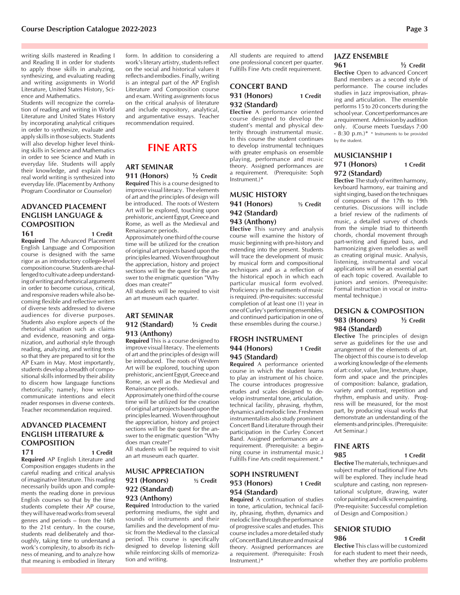writing skills mastered in Reading I and Reading II in order for students to apply those skills in analyzing, synthesizing, and evaluating reading and writing assignments in World Literature, United States History, Science and Mathematics.

Students will recognize the correlation of reading and writing in World Literature and United States History by incorporating analytical critiques in order to synthesize, evaluate and apply skills in those subjects. Students will also develop higher level thinking skills in Science and Mathematics in order to see Science and Math in everyday life. Students will apply their knowledge, and explain how real world writing is synthesized into everyday life. (Placement by Anthony Program Coordinator or Counselor)

# **ADVANCED PLACEMENT ENGLISH LANGUAGE & COMPOSITION**

**161 1 Credit Required** The Advanced Placement English Language and Composition course is designed with the same rigor as an introductory college-level composition course. Students are challenged to cultivate a deep understanding of writing and rhetorical arguments in order to become curious, critical, and responsive readers while also becoming flexible and reflective writers of diverse texts addressed to diverse audiences for diverse purposes. Students also explore aspects of the rhetorical situation such as claims and evidence, reasoning and organization, and authorial style through reading, analyzing, and writing texts so that they are prepared to sit for the AP Exam in May. Most importantly, students develop a breadth of compositional skills informed by their ability to discern how language functions rhetorically; namely, how writers communicate intentions and elecit reader responses in diverse contexts. Teacher recommendation required.

### **ADVANCED PLACEMENT ENGLISH LITERATURE & COMPOSITION**

**171 1 Credit Required** AP English Literature and Composition engages students in the careful reading and critical analysis of imaginative literature. This reading necessarily builds upon and complements the reading done in previous English courses so that by the time students complete their AP course, they will have read works from several genres and periods  $-$  from the 16th to the 21st century. In the course, students read deliberately and thoroughly, taking time to understand a work's complexity, to absorb its richness of meaning, and to analyze how that meaning is embodied in literary form. In addition to considering a work's literary artistry, students reflect on the social and historical values it reflects and embodies. Finally, writing is an integral part of the AP English Literature and Composition course and exam. Writing assignments focus on the critical analysis of literature and include expository, analytical, and argumentative essays. Teacher recommendation required.

# **FINE ARTS**

#### **ART SEMINAR**

**911 (Honors) ½ Credit Required** This is a course designed to improve visual literacy. The elements of art and the principles of design will be introduced. The roots of Western Art will be explored, touching upon prehistoric, ancient Egypt, Greece and Rome, as well as the Medieval and Renaissance periods.

Approximately one third of the course time will be utilized for the creation of original art projects based upon the principles learned. Woven throughout the appreciation, history and project sections will be the quest for the answer to the enigmatic question "Why does man create?"

All students will be required to visit an art museum each quarter.

#### **ART SEMINAR 912 (Standard) ½ Credit 913 (Anthony)**

**Required** This is a course designed to improve visual literacy. The elements of art and the principles of design will be introduced. The roots of Western Art will be explored, touching upon prehistoric, ancient Egypt, Greece and Rome, as well as the Medieval and Renaissance periods.

Approximately one third of the course time will be utilized for the creation of original art projects based upon the principles learned. Woven throughout the appreciation, history and project sections will be the quest for the answer to the enigmatic question "Why does man create?"

All students will be required to visit an art museum each quarter.

#### **MUSIC APPRECIATION 921 (Honors) ½ Credit 922 (Standard) 923 (Anthony)**

**Required** Introduction to the varied performing mediums, the sight and sounds of instruments and their families and the development of music from the Medieval to the classical period. This course is specifically designed to develop listening skill while reinforcing skills of memorization and writing.

All students are required to attend one professional concert per quarter. Fulfills Fine Arts credit requirement.

#### **CONCERT BAND 931 (Honors) 1 Credit 932 (Standard)**

**Elective** A performance oriented course designed to develop the student's mental and physical dexterity through instrumental music. In this course the student continues to develop instrumental techniques with greater emphasis on ensemble playing, performance and music theory. Assigned performances are a requirement. (Prerequisite: Soph Instrument.)\*

#### **MUSIC HISTORY 941 (Honors) ½ Credit 942 (Standard) 943 (Anthony)**

**Elective** This survey and analysis course will examine the history of music beginning with pre-history and extending into the present. Students will trace the development of music by musical form and compositional techniques and as a reflection of the historical epoch in which each particular musical form evolved. Proficiency in the rudiments of music is required. (Pre-requisites: successful completion of at least one (1) year in one of Curley's performing ensembles, and continued participation in one of these ensembles during the course.)

#### **FROSH INSTRUMENT 944 (Honors) 1 Credit 945 (Standard)**

**Required** A performance oriented course in which the student learns to play an instrument of his choice. The course introduces progressive etudes and scales designed to develop instrumental tone, articulation, technical facility, phrasing, rhythm, dynamics and melodic line. Freshmen instrumentalists also study prominent Concert Band Literature through their participation in the Curley Concert Band. Assigned performances are a requirement. (Prerequisite: a beginning course in instrumental music.) Fulfills Fine Arts credit requirement.\*

#### **SOPH INSTRUMENT 953 (Honors) 1 Credit 954 (Standard)**

**Required** A continuation of studies in tone, articulation, technical facility, phrasing, rhythm, dynamics and melodic line through the performance of progressive scales and etudes. This course includes a more detailed study of Concert Band Literature and musical theory. Assigned performances are a requirement. (Prerequisite: Frosh Instrument.)\*

#### **JAZZ ENSEMBLE 961 ½ Credit**

**Elective** Open to advanced Concert Band members as a second style of performance. The course includes

studies in Jazz improvisation, phrasing and articulation. The ensemble performs 15 to 20 concerts during the school year. Concert performances are a requirement. Admission by audition only. (Course meets Tuesdays 7:00  $-8:30$  p.m.)\* \* Instruments to be provided by the student.

# **MUSICIANSHIP I 971 (Honors) 1 Credit**

#### **972 (Standard)**

**Elective** The study of written harmony, keyboard harmony, ear training and sight singing, based on the techniques of composers of the 17th to 19th centuries. Discussions will include a brief review of the rudiments of music, a detailed survey of chords from the simple triad to thirteenth chords, chordal movement through part-writing and figured bass, and harmonizing given melodies as well as creating original music. Analysis, listening, instrumental and vocal applications will be an essential part of each topic covered. Available to juniors and seniors. (Prerequisite: Formal instruction in vocal or instrumental technique.)

#### **DESIGN & COMPOSITION 983 (Honors) ½ Credit 984 (Standard)**

**Elective** The principles of design serve as guidelines for the use and arrangement of the elements of art. The object of this course is to develop a working knowledge of the elements of art: color, value, line, texture, shape, form and space and the principles of composition: balance, gradation, variety and contrast, repetition and rhythm, emphasis and unity. Progress will be measured, for the most part, by producing visual works that demonstrate an understanding of the elements and principles. (Prerequisite: Art Seminar.)

# **FINE ARTS**

#### **985 1 Credit**

**Elective** The materials, techniques and subject matter of traditional Fine Arts will be explored. They include head sculpture and casting, non representational sculpture, drawing, water color painting and silk screen painting. (Pre-requisite: Successful completion of Design and Composition.)

#### **SENIOR STUDIO 986 1 Credit**

**Elective** This class will be customized for each student to meet their needs, whether they are portfolio problems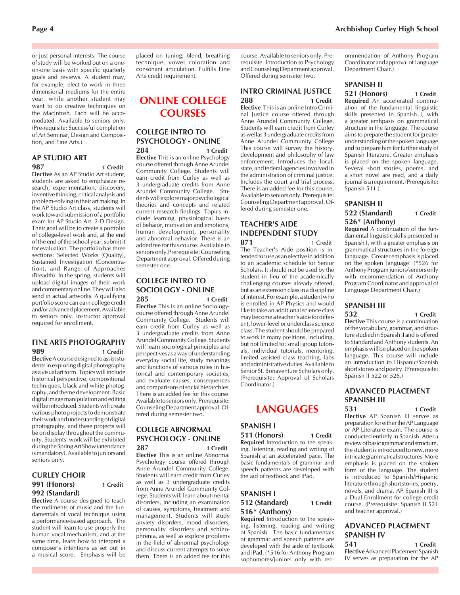or just personal interests. The course of study will be worked out on a oneon-one basis with specific quarterly goals and reviews. A student may, for example, elect to work in three dimensional mediums for the entire year, while another student may want to do creative techniques on the MacIntosh. Each will be accomodated. Available to seniors only. (Pre-requisite: Successful completion of Art Seminar, Design and Composition, and Fine Arts.)

#### **AP STUDIO ART 987 1 Credit**

**Elective** As an AP Studio Art student, students are asked to emphasize research, experimentation, discovery, inventive thinking, critical analysis and problem-solving in their art making. In the AP Studio Art class, students will work toward submission of a portfolio exam for AP Studio Art: 2-D Design. Their goal will be to create a portfolio of college-level work and, at the end of the end of the school year, submit it for evaluation. The portfolio has three sections: Selected Works (Quality), Sustained Investigation (Concentration), and Range of Approaches (Breadth). In the spring, students will upload digital images of their work and commentary online. They will also send in actual artworks. A qualifying portfolio score can earn college credit and/or advanced placement. Available to seniors only. Instructor approval required for enrollment.

#### **FINE ARTS PHOTOGRAPHY 989 1 Credit**

**Elective** A course designed to assist students in exploring digital photography as a visual art form. Topics will include historical perspective, compositional techniques, black and white photography, and theme development. Basic digital image manipulation and editing will be introduced. Students will create various photo projects to demonstrate their work and understanding of digital photography, and these projects will be on display throughout the community. Students' work will be exhibited during the Spring Art Show (attendance is mandatory). Available to juniors and seniors only.

#### **CURLEY CHOIR 991 (Honors) 1 Credit 992 (Standard)**

**Elective** A course designed to teach the rudiments of music and the fundamentals of vocal technique using a performance-based approach. The student will learn to use properly the human vocal mechanism, and at the same time, learn how to interpret a composer's intentions as set out in a musical score. Emphasis will be

placed on tuning, blend, breathing technique, vowel coloration and consonant articulation. Fulfills Fine Arts credit requirement.

# **ONLINE COLLEGE COURSES**

#### **COLLEGE INTRO TO PSYCHOLOGY - ONLINE 284 1 Credit**

**Elective** This is an online Psychology course offered through Anne Arundel Community College. Students will earn credit from Curley as well as 3 undergraduate credits from Anne Arundel Community College. Students will explore major psychological theories and concepts and related current research findings. Topics include learning, physiological bases of behaior, motivation and emotions, human development, personality and abnormal behavior. There is an added fee for this course. Available to seniors only.Prerequisite: Counseling Department approval. Offered during semester one.

# **COLLEGE INTRO TO SOCIOLOGY - ONLINE**

**285 1 Credit Elective** This is an online Sociologycourse offered through Anne Arundel Community College. Students will earn credit from Curley as well as 3 undergraduate credits from Anne Arundel Community College. Students will learn sociological principles and perspectives as a way of understanding everyday social life, study meanings and functions of various roles in historical and contemporary societies, and evaluate causes, consequences and comparisons of social hierarchies. There is an added fee for this course. Available to seniors only. Prerequisite: Counseling Department approval. Offered during semester two.

#### **COLLEGE ABNORMAL PSYCHOLOGY - ONLINE 287 1 Credit**

**Elective** This is an online Abnormal Psychology course offered through Anne Arundel Community College. Students will earn credit from Curley as well as 3 undergraduate credits from Anne Arundel Community College. Students will learn about mental disorders, including an examination of causes, symptoms, treatment and management. Students will study anxiety disorders, mood disorders, personality disorders and schizophrenia, as well as explore problems in the field of abnormal psychology and discuss current attempts to solve them. There is an added fee for this

course. Available to seniors only. Prerequisite: Introduction to Psychology and Counseling Department approval. Offered during semseter two.

#### **INTRO CRIMINAL JUSTICE 288 1 Credit**

**Elective** This is an online Intro Criminal Justice course offered through Anne Arundel Community College. Students will earn credit from Curley as wellas 3 undergraduate credits from Anne Arundel Community College This course will survey the history, development and philosophy of law enforcement. Introduces the local, state, and federal agencies involved in the administration of criminal justice. Includes the court and trial process. There is an added fee for this course. Available to seniors only. Prerequisite: Counseling Department approval. Offered during semester one.

#### **TEACHER'S AIDE INDEPENDENT STUDY 871** 1 Credit

The Teacher's Aide position is intended for use as an elective in addition to an academic schedule for Senior Scholars. It should not be used by the student in lieu of the academically challenging courses already offered, but as an extension class in a discipline of interest. For example, a student who is enrolled in AP Physics and would like to take an additional science class may become a teacher's aide for different, lower-level or underclass science class. The student should be prepared to work in many positions, including, but not limited to: small group tutorials, individual tutorials, mentoring, limited assisted class teaching, labs and administrative duties. Available to Senior St. Bonaventure Scholars only. (Prerequisite: Approval of Scholars Coordinator.)

# **LANGUAGES**

#### **SPANISH I 511 (Honors) 1 Credit**

**Required** Introduction to the speaking, listening, reading and writing of Spanish at an accelerated pace. The basic fundamentals of grammar and speech patterns are developed with the aid of textbook and iPad.

#### **SPANISH I 512 (Standard) 1 Credit 516\* (Anthony)**

**Required** Introduction to the speaking, listening, reading and writing of Spanish. The basic fundamentals of grammar and speech patterns are developed with the aide of textbook and iPad. (\*516 for Anthony Program sophomores/juniors only with recommendation of Anthony Program Coordinator and approval of Language Department Chair.)

# **SPANISH II**

#### **521 (Honors) 1 Credit**

**Required** An accelerated continuation of the fundamental linguistic skills presented in Spanish I, with a greater emhpasis on grammatical structure in the language. The course aims to prepare the student for greater understanding of the spoken language and to prepare him for further study of Spanish literature. Greater emphasis is placed on the spoken language. Several short stories, poems, and a short novel are read, and a daily journal is a requirement. (Prerequisite: Spanish 511.)

#### **SPANISH II 522 (Standard) 1 Credit 526\* (Anthony)**

**Required** A continuation of the fundamental linguistic skills presented in Spanish I, with a greater emphasis on grammatical structures in the foreign language. Greater emphasis is placed on the spoken language. (\*526 for Anthony Program juniors/seniors only with recommendation of Anthony Program Coordinator and approval of Language Department Chair.)

#### **SPANISH III**

**532 1 Credit Elective** This course is a continuation of the vocabulary, grammar, and structure studied in Spanish II and is offered to Standard and Anthony students. An emphasis will be placed on the spoken language. This course will include an introduction to Hispanic/Spanish short stories and poetry. (Prerequisite: Spanish II 522 or 526.)

### **ADVANCED PLACEMENT SPANISH III**

# **531 1 Credit**

**Elective** AP Spanish III serves as preparation for either the AP Language or AP Literature exam. The course is conducted entirely in Spanish. After a review of basic grammar and structure, the student is introduced to new, more intricate grammatical structures. More emphasis is placed on the spoken form of the language. The student is introduced to Spanish/Hispanic literature through short stories, poetry, novels, and drama. AP Spanish III is a Dual Enrollment for college credit course. (Prerequisite: Spanish II 521 and teacher approval.)

### **ADVANCED PLACEMENT SPANISH IV**

**541 1 Credit Elective** Advanced Placement Spanish IV serves as preparation for the AP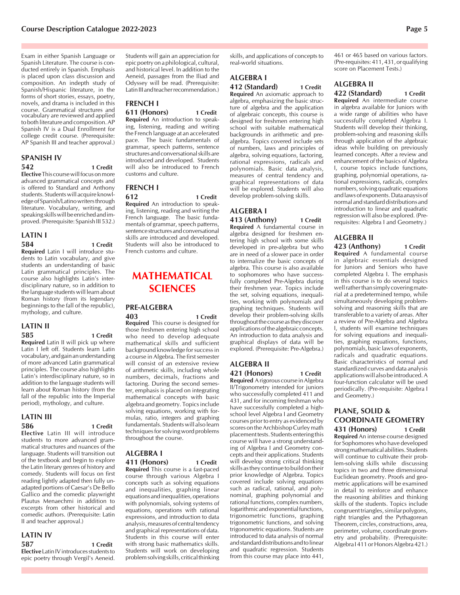Exam in either Spanish Language or Spanish Literature. The course is conducted entirely in Spanish. Emphasis is placed upon class discussion and composition. An indepth study of Spanish/Hispanic literature, in the forms of short stories, essays, poetry, novels, and drama is included in this course. Grammatical structures and vocabulary are reviewed and applied to both literature and composition. AP Spanish IV is a Dual Enrollment for college credit course. (Prerequisite: AP Spanish III and teacher approval.)

#### **SPANISH IV 542 1 Credit**

**Elective** This course will focus on more advanced grammatical concepts and is offered to Standard and Anthony students. Students will acquire knowledge of Spanish/Latino writers through literature. Vocabulary, writing, and speaking skills will be enriched and improved. (Prerequisite: Spanish III 532.)

#### **LATIN I 584 1 Credit**

**Required** Latin I will introduce students to Latin vocabulary, and give students an understanding of basic Latin grammatical principles. The course also highlights Latin's interdisciplinary nature, so in addition to the language students will learn about Roman history (from its legendary beginnings to the fall of the republic), mythology, and culture.

#### **LATIN II 585 1 Credit**

**Required** Latin II will pick up where Latin I left off. Students learn Latin vocabulary, and gain an understanding of more advanced Latin grammatical principles. The course also highlights Latin's interdisciplinary nature, so in addition to the language students will learn about Roman history (from the fall of the republic into the Imperial period), mythology, and culture.

#### **LATIN III 586 1 Credit**

**Elective** Latin III will introduce students to more advanced grammatical structures and nuances of the language. Students will transition out of the textbook and begin to explore the Latin literary genres of history and comedy. Students will focus on first reading lightly adapted then fully unadapted portions of Caesar's De Bello Gallico and the comedic playwright Plautus Menaechmi in addition to excerpts from other historical and comedic authors. (Prerequisite: Latin II and teacher approval.)

# **LATIN IV**

**587 1 Credit Elective** Latin IV introduces students to epic poetry through Vergil's Aeneid. Students will gain an appreciation for epic poetry on a philological, cultural, and historical level. In addition to the Aeneid, passages from the Iliad and Odyssey will be read. (Prerequisite: Latin III and teacher recommendation.)

# **FRENCH I**

**611 (Honors) 1 Credit Required** An introduction to speaking, listening, reading and writing the French language at an accelerated pace. The basic fundamentals of grammar, speech patterns, sentence structures and conversational skills are introduced and developed. Students will also be introduced to French customs and culture.

# **FRENCH I**

**612 1 Credit Required** An introduction to speaking, listening, reading and writing the French language. The basic fundamentals of grammar, speech patterns, sentence structures and conversational skills are introduced and developed. Students will also be introduced to French customs and culture.

# **MATHEMATICAL SCIENCES**

# **PRE-ALGEBRA**

**403 1 Credit Required** This course is designed for those freshmen entering high school who need to develop adequate mathematical skills and sufficient background knowledge for success in a course in Algebra. The first semester will consist of an extensive review of arithmetic skills, including whole numbers, decimals, fractions and factoring. During the second semester, emphasis is placed on integrating mathematical concepts with basic algebra and geometry. Topics include solving equations, working with formulas, ratio, integers and graphing fundamentals. Students will also learn techniques for solving word problems throughout the course.

#### **ALGEBRA I 411 (Honors) 1 Credit**

**Required** This course is a fast-paced course through various Algebra I concepts such as solving equations and inequalities, graphing linear equations and inequalities, operations with polynomials, solving systems of equations, operations with rational expressions, and introduction to data analysis, measures of central tendency and graphical representations of data. Students in this course will enter with strong basic mathematics skills. Students will work on developing problem solving skills, critical thinking skills, and applications of concepts to real-world situations.

# **ALGEBRA I**

**412 (Standard) 1 Credit Required** An axiomatic approach to

algebra, emphasizing the basic structure of algebra and the application of algebraic concepts, this course is designed for freshmen entering high school with suitable mathematical backgrounds in arithmetic and prealgebra. Topics covered include sets of numbers, laws and principles of algebra, solving equations, factoring, rational expressions, radicals and polynomials. Basic data analysis, measures of central tendency and graphical representations of data will be explored. Students will also develop problem-solving skills.

# **ALGEBRA I**

**413 (Anthony) 1 Credit Required** A fundamental course in algebra designed for freshmen entering high school with some skills developed in pre-algebra but who are in need of a slower pace in order to internalize the basic concepts of algebra. This course is also available to sophomores who have successfully completed Pre-Algebra during their freshmen year. Topics include the set, solving equations, inequalities, working with polynomials and graphing techniques. Students will develop their problem-solving skills throughout the course as they discover applications of the algebraic concepts. An introduction to data analysis and graphical displays of data will be explored. (Prerequisite: Pre-Algebra.)

# **ALGEBRA II**

**421 (Honors) 1 Credit Required** A rigorous course in Algebra II/Trigonometry intended for juniors who successfully completed 411 and 431, and for incoming freshman who have successfully completed a highschool level Algebra I and Geometry courses prior to entry as evidenced by scores on the Archbishop Curley math placement tests. Students entering this course will have a strong understanding of Algebra I and Geometry concepts and their applications. Students will develop strong critical thinking skills as they continue to build on their prior knowledge of Algebra. Topics covered include solving equations such as radical, rational, and polynominal, graphing polynomial and rational functions, complex numbers, logarithmic and exponential functions, trigonometric functions, graphing trigonometric functions, and solving trigonometric equations. Students are introduced to data analysis of normal and standard distributions and to linear and quadratic regression. Students from this course may place into 441, 461 or 465 based on various factors. (Pre-requisites: 411, 431, or qualifying score on Placement Tests.)

#### **ALGEBRA II**

**422 (Standard) 1 Credit Required** An intermediate course in algebra available for Juniors with a wide range of abilities who have successfully completed Algebra I. Students will develop their thinking, problem-solving and reasoning skills through application of the algebraic ideas while building on previously learned concepts. After a review and enhancement of the basics of Algebra I, course topics include functions, graphing, polynomial operations, rational expressions, radicals, complex numbers, solving quadratic equations and laws of exponents. Data anaysis of normal and standard distributions and introduction to linear and quadratic regression will also be explored. (Prerequisites: Algebra I and Geometry.)

#### **ALGEBRA II**

#### **423 (Anthony) 1 Credit**

**Required** A fundamental course in algebraic essentials designed for Juniors and Seniors who have completed Algebra I. The emphasis in this course is to do several topics well rather than simply covering material at a predetermined tempo, while simultaneously developing problemsolving and reasoning skills that are transferable to a variety of areas. After a review of Pre-Algebra and Algebra I, students will examine techniques for solving equations and inequalities, graphing equations, functions, polynomials, basic laws of exponents, radicals and quadratic equations. Basic characteristics of normal and standardized curves and data analysis applications will also be introduced. A four-function calculator will be used periodically. (Pre-requisite: Algebra I and Geometry.)

#### **PLANE, SOLID & COORDINATE GEOMETRY 431 (Honors) 1 Credit**

**Required** An intense course designed for Sophomores who have developed strong mathematical abilities. Students will continue to cultivate their problem-solving skills while discussing topics in two and three dimensional Euclidean geometry. Proofs and geometric applications will be examined in detail to reinforce and enhance the reasoning abilities and thinking skills of the students. Topics include congruent triangles, similar polygons, right triangles and the Pythagorean Theorem, circles, constructions, area, perimeter, volume, coordinate geometry and probability. (Prerequisite: Algebra I 411 or Honors Algebra 421.)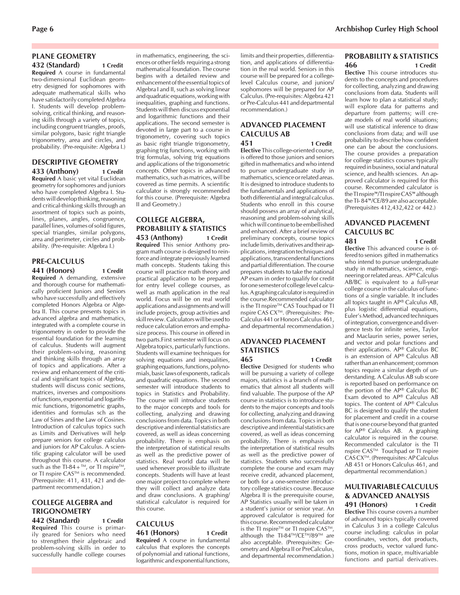#### **PLANE GEOMETRY**

**432 (Standard) 1 Credit Required** A course in fundamental two-dimensional Euclidean geometry designed for sophomores with adequate mathematical skills who have satisfactorily completed Algebra I. Students will develop problemsolving, critical thinking, and reasoning skills through a variety of topics, including congruent triangles, proofs, similar polygons, basic right triangle trigonometry, area and circles, and probability. (Pre-requisite: Algebra I.)

#### **DESCRIPTIVE GEOMETRY 433 (Anthony) 1 Credit**

**Required** A basic yet vital Euclidean geometry for sophomores and juniors who have completed Algebra I. Students will develop thinking, reasoning and critical-thinking skills through an assortment of topics such as points, lines, planes, angles, congruence, parallel lines, volumes of solid figures, special triangles, similar polygons, area and perimeter, circles and probability. (Pre-requisite: Algebra I.)

#### **PRE-CALCULUS 441 (Honors) 1 Credit**

**Required** A demanding, extensive and thorough course for mathematically proficient Juniors and Seniors who have successfully and effectively completed Honors Algebra or Algebra II. This course presents topics in advanced algebra and mathematics, integrated with a complete course in trigonometry in order to provide the essential foundation for the learning of calculus. Students will augment their problem-solving, reasoning and thinking skills through an array of topics and applications. After a review and enhancement of the critical and significant topics of Algebra, students will discuss conic sections, matrices, inverses and compositions of functions, exponential and logarithmic functions, trigonometric graphs, identities and formulas sch as the Law of Sines and the Law of Cosines. Introduction of calculus topics such as Limits and Derivatives will help prepare seniors for college calculus and juniors for AP Calculus. A scientific graping calculator will be used throughout this course. A calculator such as the TI-84 +  $^{TM}$ , or TI nspire<sup>TM</sup>, or TI nspire CAS™ is recommended. (Prerequisite: 411, 431, 421 and department recommendation.)

# **COLLEGE ALGEBRA and TRIGONOMETRY**

**442 (Standard) 1 Credit Required** This course is primarily geared for Seniors who need to strengthen their algebraic and problem-solving skills in order to successfully handle college courses in mathematics, engineering, the sciences or other fields requiring a strong mathematical foundation. The course begins with a detailed review and enhancement of the essential topics of Algebra I and II, such as solving linear and quadratic equations, working with inequalities, graphing and functions. Students will then discuss exponential and logarithmic functions and their applications. The second semester is devoted in large part to a course in trigonometry, covering such topics as basic right triangle trigonometry, graphing trig functions, working with trig formulas, solving trig equations and applications of the trigonometric concepts. Other topics in advanced mathematics, such as matrices, will be covered as time permits. A scientific calculator is strongly recommended for this course. (Prerequisite: Algebra II and Geometry.)

#### **COLLEGE ALGEBRA, PROBABILITY & STATISTICS 453 (Anthony) 1 Credit**

**Required** This senior Anthony program math course is designed to reinforce and integrate previously learned math concepts. Students taking this course will practice math theory and practical application to be prepared for entry level college courses, as well as math application in the real world. Focus will be on real world applications and assignments and will include projects, group activities and skill review. Calculators will be used to reduce calculation errors and emphasize process. This course in offered in two parts.First semester will focus on Algebra topics, particularly functions. Students will examine techniques for solving equations and inequalities, graphing equations, functions, polynomials, basic laws of exponents, radicals and quadratic equations. The second semester will introduce students to topics in Statistics and Probability. The course will introduce students to the major concepts and tools for collecting, analyzing and drawing conclusions from data. Topics in both descriptive and inferential statistics are covered, as well as ideas concerning probability. There is emphasis on the interpretation of statistical results as well as the predictive power of statistics. Real world data will be used whenever prossible to illustrate concepts. Students will have at least one major project to complete where they will collect and analyze data and draw conclusions. A graphing/ statistical calculator is required for this course.

## **CALCULUS**

**461 (Honors) 1 Credit Required** A course in fundamental calculus that explores the concepts of polynomial and rational functions, logarithmic and exponential functions,

limits and their properties, differentiation, and applications of differentiation in the real world. Seniors in this course will be prepared for a collegelevel Calculus course, and juniors/ sophomores will be prepared for AP Calculus. (Pre-requisites: Algebra 421 or Pre-Calculus 441 and departmental recommendation.)

## **ADVANCED PLACEMENT CALCULUS AB**

**451 1 Credit Elective** This college-oriented course, is offered to those juniors and seniors gifted in mathematics and who intend to pursue undergraduate study in mathematics, science or related areas. It is designed to introduce students to the fundamentals and applications of both differential and integral calculus. Students who enroll in this course should possess an array of analytical, reasoning and problem-solving skills which will continue to be embellished and enhanced. After a brief review of preliminary concepts, course topics include limits, derivatives and their applications, integration techniques and applications, transcendental functions and partial differentiation. The course prepares students to take the national AP exam in order to qualify for credit for one semester of college level calculus. A graphing calculator is required in the course.Recommended calculator is the TI nspire™ CAS Touchpad or TI nspire CAS CX<sup>™</sup>. (Prerequisites: Pre-Calculus 441 or Honors Calculus 461, and departmental recommendation.)

#### **ADVANCED PLACEMENT STATISTICS**

**465 1 Credit Elective** Designed for students who will be pursuing a variety of college majors, statistics is a branch of mathematics that almost all students will find valuable. The purpose of the AP course in statistics is to introduce students to the major concepts and tools for collecting, analyzing and drawing conclusions from data. Topics in both descriptive and inferential statistics are covered, as well as ideas concerning probability. There is emphasis on the interpretation of statistical results as well as the predictive power of statistics. Students who successfully complete the course and exam may receive credit, advanced placement, or both for a one-semester introductory college statistics course. Because Algebra II is the prerequisite course, AP Statistics usually will be taken in a student's junior or senior year. An approved calculator is required for this course. Recommended calculator is the TI nspire<sup>TM</sup> or TI nspire  $CAS^{TM}$ , although the TI-84™/CE™/89™ are also acceptable. (Prerequisites: Geometry and Algebra II or PreCalculus, and departmental recommendation.)

#### **PROBABILITY & STATISTICS 466 1 Credit**

**Elective** This course introduces students to the concepts and procedures for collecting, analyzing and drawing conclusions from data. Students will learn how to plan a statistical study; will explore data for patterns and departure from patterns; will create models of real world situations; will use statistical inference to draw conclusions from data; and will use probability to describe how confident one can be about the conclusions. The course provides a preparation for college statistics courses typically required in business, social and natural science, and health sciences. An approved calculator is required for this course. Recommended calculator is the TI nspire™/TI nspire CAS™ although the TI- 84™/CE/89 are also acceptable. (Prerequisites 412,432,422 or 442.)

# **ADVANCED PLACEMENT CALCULUS BC**

**481 1 Credit Elective** This advanced course is offered to seniors gifted in mathematics who intend to pursue undergraduate study in mathematics, science, engineering or related areas. AP® Calculus AB/BC is equivalent to a full-year college course in the calculus of functions of a single variable. It includes all topics taught in AP® Calculus AB, plus logistic differential equations, Euler's Method, advanced techniques of integration, convergence and divergence tests for infinite series, Taylor and Maclaurin series, power series, and vector and polar functions and their applications. AP® Calculus BC is an extension of AP® Calculus AB rather than an enhancement; common topics require a similar depth of understanding. A Calculus AB sub score is reported based on performance on the portion of the AP® Calculus BC Exam devoted to AP® Calculus AB topics. The content of AP® Calculus BC is designed to qualify the student for placement and credit in a course that is one course beyond that granted for AP® Calculus AB. A graphing calculator is required in the course. Recommended calculator is the TI nspire CAS™ Touchpad or TI nspire CAS CXTM. (Prerequisites: AP Calculus AB 451 or Honors Calculus 461, and departmental recommendation.)

#### **MULTIVARIABLE CALCULUS & ADVANCED ANALYSIS 491 (Honors) 1 Credit**

**Elective** This course covers a number of advanced topics typically covered in Calculus 3 in a college Calculus course including: calculus in polar coordinates, vectors, dot products, cross products, vector valued functions, motion in space, multivariable functions and partial derivatives.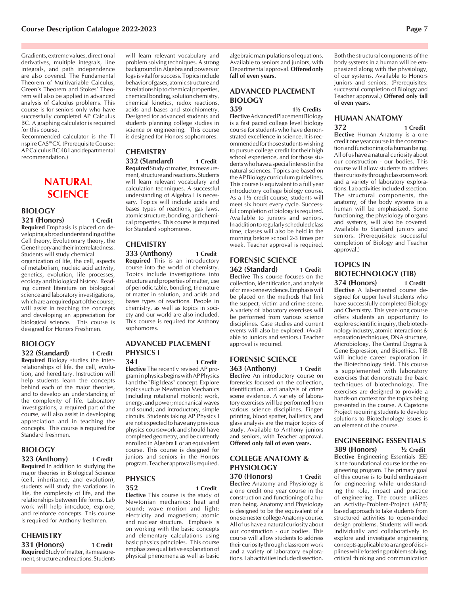Gradients, extreme values, directional derivatives, multiple integrals, line integrals, and path independence are also covered. The Fundamental Theorem of Multivariable Calculus, Green's Theorem and Stokes' Theorem will also be applied in advanced analysis of Calculus problems. This course is for seniors only who have successfully completed AP Calculus BC. A graphing calculator is required for this course.

Recommended calculator is the TI nspire CAS™CX. (Prerequisite Course: AP Calculus BC 481 and departmental recommendation.)

# **NATURAL SCIENCE**

#### **BIOLOGY 321 (Honors) 1 Credit**

**Required** Emphasis is placed on developing a broad understanding of the Cell theory, Evolutionary theory, the Gene theory and their interrelatedness. Students will study chemical organization of life, the cell, aspects of metabolism, nucleic acid activity, genetics, evolution, life processes, ecology and biological history. Reading current literature on biological science and laboratory investigations, which are a required part of the course, will assist in teaching the concepts and developing an appreciation for biological science. This course is designed for Honors Freshmen.

#### **BIOLOGY 322 (Standard) 1 Credit**

**Required** Biology studies the interrelationships of life, the cell, evolution, and hereditary. Instruction will help students learn the concepts behind each of the major theories, and to develop an understanding of the complexity of life. Laboratory investigations, a required part of the course, will also assist in developing appreciation and in teaching the concepts. This course is required for Standard freshmen.

# **BIOLOGY**

**323 (Anthony) 1 Credit Required** In addition to studying the major theories in Biological Science (cell, inheritance, and evolution), students will study the variations in life, the complexity of life, and the relationships between life forms. Lab work will help introduce, explore, and reinforce concepts. This course is required for Anthony freshmen.

# **CHEMISTRY**

**331 (Honors) 1 Credit Required** Study of matter, its measurement, structure and reactions. Students

will learn relevant vocabulary and problem solving techniques. A strong background in Algebra and powers or logs is vital for success. Topics include behavior of gases, atomic structure and its relationship to chemical properties, chemical bonding, solution chemistry, chemical kinetics, redox reactions, acids and bases and stoichiometry. Designed for advanced students and students planning college studies in science or engineering. This course is designed for Honors sophomores.

# **CHEMISTRY**

#### **332 (Standard) 1 Credit Required** Study of matter, its measure-

ment, structure and reactions. Students will learn relevant vocabulary and calculation techniques. A successful understanding of Algebra I is necessary. Topics will include acids and bases types of reactions, gas laws, atomic structure, bonding, and chemical properties. This course is required for Standard sophomores.

#### **CHEMISTRY 333 (Anthony) 1 Credit**

**Required** This is an introductory course into the world of chemistry. Topics include investigations into structure and properties of matter, use of periodic table, bonding, the nature of matter in solution, and acids and bases types of reactions. People in chemistry, as well as topics in society and our world are also included. This course is required for Anthony sophomores.

#### **ADVANCED PLACEMENT PHYSICS I**

**341 1 Credit Elective** The recently revised AP program in physics begins with AP Physics I and the "Big Ideas" concept. Explore topics such as Newtonian Mechanics (including rotational motion); work, energy, and power; mechanical waves and sound; and introductory, simple circuits. Students taking AP Physics I are not expected to have any previous physics coursework and should have completed geometry, and be currently enrolled in Algebra II or an equivalent course. This course is designed for

juniors and seniors in the Honors program. Teacher approval is required.

#### **PHYSICS**

**352 1 Credit**

**Elective** This course is the study of Newtonian mechanics; heat and sound; wave motion and light; electricity and magnetism; atomic and nuclear structure. Emphasis is on working with the basic concepts and elementary calculations using basic physics principles. This course emphasizes qualitative explanation of physical phenomena as well as basic

algebraic manipulations of equations. Available to seniors and juniors, with Departmental approval. **Offered only fall of even years.**

# **ADVANCED PLACEMENT BIOLOGY**

**359 1½ Credits Elective** Advanced Placement Biology is a fast paced college level biology course for students who have demonstrated excellence in science. It is recommended for those students wishing to pursue college credit for their high school experience, and for those students who have a special interest in the natural sciences. Topics are based on the AP Biology curriculum guidelines. This course is equivalent to a full year introductory college biology course. As a 1½ credit course, students will meet six hours every cycle. Successful completion of biology is required. Available to juniors and seniors. In addition to regularly scheduled class time, classes will also be held in the morning before school 2-3 times per week. Teacher approval is required.

#### **FORENSIC SCIENCE 362 (Standard) 1 Credit**

**Elective** This course focuses on the collection, identification, and analysis of crime scene evidence. Emphasis will be placed on the methods that link the suspect, victim and crime scene. A variety of laboratory exercises will be performed from various science disciplines. Case studies and current events will also be explored. (Available to juniors and seniors.) Teacher approval is required.

#### **FORENSIC SCIENCE 363 (Anthony) 1 Credit**

**Elective** An introductory course on forensics focused on the collection, identification, and analysis of crime scene evidence. A variety of laboratory exercises will be performed from various science disciplines. Fingerprinting, blood spatter, ballistics, and glass analysis are the major topics of study. Available to Anthony juniors and seniors, with Teacher approval. **Offered only fall of even years.**

### **COLLEGE ANATOMY & PHYSIOLOGY**

**370 (Honors) 1 Credit Elective** Anatomy and Physiology is a one credit one year course in the construction and functioning of a human being. Anatomy and Physiology is designed to be the equivalent of a one semester college Anatomy course. All of us have a natural curiosity about our construction - our bodies. This course will allow students to address their curiosity through classroom work and a variety of laboratory explorations. Lab activities include dissection.

Both the structural components of the body systems in a human will be emphasized along with the physiology, of our systems. Available to Honors juniors and seniors. (Prerequisites: successful completion of Biology and Teacher approval.) **Offered only fall of even years.**

# **HUMAN ANATOMY**

**372 1 Credit**

**Elective** Human Anatomy is a one credit one year course in the construction and functioning of a human being. All of us have a natural curiosity about our construction - our bodies. This course will allow students to address their curiosity through classroom work and a variety of laboratory explorations. Lab activities include dissection. The structural components, the anatomy, of the body systems in a human will be emphasized. Some functioning, the physiology of organs and systems, will also be covered. Available to Standard juniors and seniors. (Prerequisites: successful completion of Biology and Teacher approval.)

#### **TOPICS IN BIOTECHNOLOGY (TIB) 374 (Honors) 1 Credit**

**Elective** A lab-oriented course designed for upper level students who have successfully completed Biology and Chemistry. This year-long course offers students an opportunity to explore scientific inquiry, the biotechnology industry, atomic interactions & separation techniques, DNA structure, Microbiology, The Central Dogma & Gene Expression, and Bioethics. TIB will include career exploration in the Biotechnology field. This course is supplemented with laboratory exercises that demonstrate the basic techniques of biotechnology. The exercises are designed to provide a hands-on context for the topics being presented in the course. A Capstone Project requiring students to develop solutions to Biotechnology issues is an element of the course.

#### **ENGINEERING ESSENTIALS**

**389 (Honors) ½ Credit Elective** Engineering Essentials (EE) is the foundational course for the engineering program. The primary goal of this course is to build enthusiasm for engineering while understanding the role, impact and practice of engineering. The course utilizes an Activity-Problem-Project (APB) based approach to take students from structured activities to open-ended design problems. Students will work individually and collaboratively to explore and investigate engineering concepts applicable to a range of disciplines while fostering problem solving, critical thinking and communication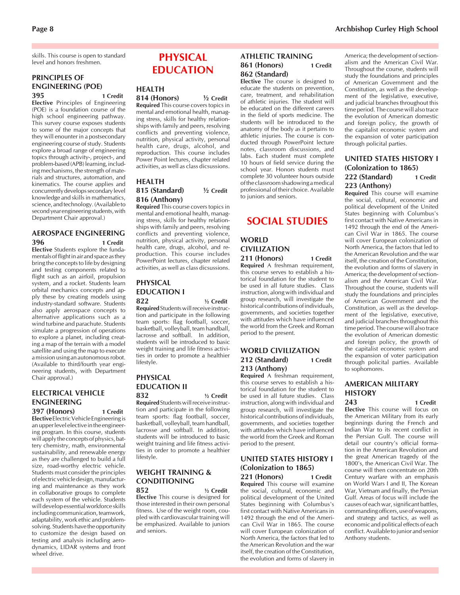skills. This course is open to standard level and honors freshmen.

#### **PRINCIPLES OF ENGINEERING (POE) 395 1 Credit**

**Elective** Principles of Engineering (POE) is a foundation course of the high school engineering pathway. This survey course exposes students to some of the major concepts that they will enounter in a postsecondary engineering course of study. Students explore a broad range of engineering topics through activity-, project-, and problem-based (APB) learning, including mechanisms, the strength of materials and structures, automation, and kinematics. The course applies and concurrently develops secondary level knowledge and skills in mathematics, science, and technology. (Available to second year engineering students, with Department Chair approval.)

#### **AEROSPACE ENGINEERING 396 1 Credit**

**Elective** Students explore the fundamentals of flight in air and space as they bring the concepts to life by designing and testing components related to flight such as an airfoil, propulsion system, and a rocket. Students learn orbital mechanics concepts and apply these by creating models using industry-standard software. Students also apply aerospace concepts to alternative applications such as a wind turbine and parachute. Students simulate a progression of operations to explore a planet, including creating a map of the terrain with a model satellite and using the map to execute a mission using an autonomous robot. (Available to third/fourth year engineering students, with Department Chair approval.)

#### **ELECTRICAL VEHICLE ENGINEERING 397 (Honors) 1 Credit**

**Elective** Electric Vehicle Engineering is an upper level elective in the engineering program. In this course, students will apply the concepts of physics, battery chemistry, math, environmental sustainability, and renewable energy as they are challenged to build a full size, road-worthy electric vehicle. Students must consider the principles of electric vehicle design, manufacturing and maintenance as they work in collaborative groups to complete each system of the vehicle. Students will develop essential workforce skills including communication, teamwork, adaptability, work ethic and problemsolving. Students have the opportunity to customize the design based on testing and analysis including aerodynamics, LIDAR systems and front wheel drive.

# **PHYSICAL EDUCATION**

# **HEALTH**

**814 (Honors) ½ Credit Required** This course covers topics in mental and emotional health, managing stress, skills for healthy relationships with family and peers, resolving conflicts and preventing violence, nutrition, physical activity, personal health care, drugs, alcohol, and reproduction. This course includes Power Point lectures, chapter related activities, as well as class dicsussions.

#### **HEALTH 815 (Standard) ½ Credit 816 (Anthony)**

**Required** This course covers topics in mental and emotional health, managing stress, skills for healthy relationships with family and peers, resolving conflicts and preventing violence, nutrition, physical activity, personal health care, drugs, alcohol, and reproduction. This course includes PowerPoint lectures, chapter related activities, as well as class dicsussions.

# **PHYSICAL EDUCATION I**

**822 ½ Credit Required**Students will receive instruction and participate in the following team sports: flag football, soccer, basketball, volleyball, team handball, lacrosse and softball. In addition, students will be introduced to basic weight training and life fitness activities in order to promote a healthier lifestyle.

# **PHYSICAL EDUCATION II**

**832 ½ Credit Required**Students will receive instruction and participate in the following team sports: flag football, soccer, basketball, volleyball, team handball, lacrosse and softball. In addition, students will be introduced to basic weight training and life fitness activities in order to promote a healthier lifestyle.

### **WEIGHT TRAINING & CONDITIONING**

**852 ½ Credit Elective** This course is designed for those interested in their own personal fitness. Use of the weight room, coupled with cardiovascular training will be emphasized. Available to juniors and seniors.

#### **ATHLETIC TRAINING 861 (Honors) 1 Credit 862 (Standard)**

**Elective** The course is designed to educate the students on prevention, care, treatment, and rehabilitation of athletic injuries. The student will be educated on the different careers in the field of sports medicine. The students will be introduced to the anatomy of the body as it pertains to athletic injuries. The course is conducted through PowerPoint lecture notes, classroom discussions, and labs. Each student must complete 10 hours of field service during the school year. Honors students must complete 30 volunteer hours outside of the classroom shadowing a medical professional of their choice. Available to juniors and seniors.

# **SOCIAL STUDIES**

#### **WORLD CIVILIZATION 211 (Honors) 1 Credit**

**Required** A freshman requirement, this course serves to establish a historical foundation for the student to be used in all future studies. Class instruction, along with individual and group research, will investigate the historical contributions of individuals, governments, and societies together with attitudes which have influenced the world from the Greek and Roman period to the present.

#### **WORLD CIVILIZATION 212 (Standard) 1 Credit 213 (Anthony)**

**Required** A freshman requirement, this course serves to establish a historical foundation for the student to be used in all future studies. Class instruction, along with individual and group research, will investigate the historical contributions of individuals, governments, and societies together with attitudes which have influenced the world from the Greek and Roman period to the present.

#### **UNITED STATES HISTORY I (Colonization to 1865) 221 (Honors) 1 Credit**

**Required** This course will examine the social, cultural, economic and political development of the United States beginning with Columbus's first contact with Native Americans in 1492 through the end of the American Civil War in 1865. The course will cover European colonization of North America, the factors that led to the American Revolution and the war itself, the creation of the Constitution, the evolution and forms of slavery in

America; the development of sectionalism and the American Civil War. Throughout the course, students will study the foundations and principles of American Government and the Constitution, as well as the development of the legislative, executive, and judicial branches throughout this time period. The course will also trace the evolution of American domestic and foreign policy, the growth of the capitalist economic system and the expansion of voter participation through policital parties.

#### **UNITED STATES HISTORY I (Colonization to 1865) 222 (Standard) 1 Credit 223 (Anthony)**

**Required** This course will examine the social, cultural, economic and political development of the United States beginning with Columbus's first contact with Native Americans in 1492 through the end of the American Civil War in 1865. The course will cover European colonization of North America, the factors that led to the American Revolution and the war itself, the creation of the Constitution, the evolution and forms of slavery in America; the development of sectionalism and the American Civil War. Throughout the course, students will study the foundations and principles of American Government and the Constitution, as well as the development of the legislative, executive, and judicial branches throughout this time period. The course will also trace the evolution of American domestic and foreign policy, the growth of the capitalist economic system and the expansion of voter participation through policital parties. Available to sophomores.

# **AMERICAN MILITARY HISTORY**

#### **243 1 Credit**

**Elective** This course will focus on the American Military from its early beginnings during the French and Indian War to its recent conflict in the Persian Gulf. The course will detail our country's official formation in the American Revolution and the great American tragedy of the 1800's, the American Civil War. The course will then concentrate on 20th Century warfare with an emphasis on World Wars I and II, The Korean War, Vietnam and finally, the Persian Gulf. Areas of focus will include the causes of each war, significant battles, commanding officers, use of weapons, and strategy and tactics, as well as economic and political effects of each conflict. Available to junior and senior Anthony students.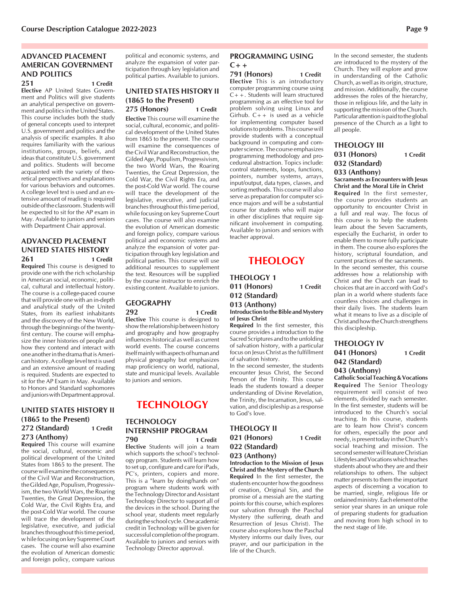# **ADVANCED PLACEMENT AMERICAN GOVERNMENT AND POLITICS**

**251 1 Credit Elective** AP United States Govern-

ment and Politics will give students an analytical perspective on government and politics in the United States. This course includes both the study of general concepts used to interpret U.S. government and politics and the analysis of specific examples. It also requires familiarity with the various institutions, groups, beliefs, and ideas that constitute U.S. government and politics. Students will become acquainted with the variety of theoretical perspectives and explanations for various behaviors and outcomes. A college level text is used and an extensive amount of reading is required outside of the classroom. Students will be expected to sit for the AP exam in May. Available to juniors and seniors with Department Chair approval.

#### **ADVANCED PLACEMENT UNITED STATES HISTORY 261 1 Credit**

**Required** This course is designed to provide one with the rich scholarship in American social, economic, political, cultural and intellectual history. The course is a college-paced course that will provide one with an in-depth and analytical study of the United States, from its earliest inhabitants and the discovery of the New World, through the beginnings of the twentyfirst century. The course will emphasize the inner histories of people and how they contend and interact with one another in the drama that is American history. A college level text is used and an extensive amount of reading is required. Students are expected to sit for the AP Exam in May. Available to Honors and Standard sophomores and juniors with Department approval.

#### **UNITED STATES HISTORY II (1865 to the Present) 272 (Standard) 1 Credit 273 (Anthony)**

**Required** This course will examine the social, cultural, economic and political development of the United States from 1865 to the present. The course will examine the consequences of the Civil War and Reconstruction, the Gilded Age, Populism, Progressivism, the two World Wars, the Roaring Twenties, the Great Depression, the Cold War, the Civil Rights Era, and the post-Cold War world. The course will trace the development of the legislative, executive, and judicial branches throughout this time period, w hile focusing on key Supreme Court cases. The course will also examine the evolution of American domestic and foreign policy, compare various

political and economic systems, and analyze the expansion of voter participation through key legislation and political parties. Available to juniors.

#### **UNITED STATES HISTORY II (1865 to the Present) 275 (Honors) 1 Credit**

**Elective** This course will examine the social, cultural, economic, and political development of the United States from 1865 to the present. The course will examine the consequences of the Civil War and Reconstruction, the Gilded Age, Populism, Progressivism, the two World Wars, the Roaring Twenties, the Great Depression, the Cold War, the Civil Rights Era, and the post-Cold War world. The course will trace the development of the legislative, executive, and judicial branches throughout this time period, while focusing on key Supreme Court cases. The course will also examine the evolution of American domestic and foreign policy, compare various political and economic systems and analyze the expansion of voter participation through key legislation and political parties. This course will use additional resources to supplement the text. Resources will be supplied by the course instructor to enrich the existing content. Available to juniors.

#### **GEOGRAPHY 292 1 Credit**

**Elective** This course is designed to show the relationship between history and geography and how geography influences historical as well as current world events. The course concerns itself mainly with aspects of human and physical geography but emphasizes map proficiency on world, national, state and municipal levels. Available to juniors and seniors.

# **TECHNOLOGY**

#### **TECHNOLOGY INTERNSHIP PROGRAM 790 1 Credit**

**Elective** Students will join a team which supports the school's technology program. Students will learn how to set up, configure and care for iPads, PC's, printers, copiers and more. This is a "learn by doing/hands on" program where students work with the Technology Director and Assistant Technology Director to support all of the devices in the school. During the school year, students meet regularly during the school cycle. One academic credit in Technology will be given for successful completion of the program. Available to juniors and seniors with Technology Director approval.

#### **PROGRAMMING USING C++**

**791 (Honors) 1 Credit Elective** This is an introductory computer programming course using C++. Students will learn structured programming as an effective tool for problem solving using Linux and Girhub. C++ is used as a vehicle for implementing computer based solutions to problems. This course will provide students with a conceptual background in computing and computer science. The course emphasizes programming methodology and procedureal abstraction. Topics include: control statements, loops, functions, pointers, number systems, arrays, input/output, data types, classes, and sorting methods. This course will also serve as preparation for computer science majors and will be a substantial course for students who will major in other disciplines that require significant involvement in computing. Available to juniors and seniors with teacher approval.

# **THEOLOGY**

**THEOLOGY 1 011 (Honors) 1 Credit 012 (Standard) 013 (Anthony)**

**Introduction to the Bible and Mystery of Jesus Christ**

**Required** In the first semester, this course provides a introduction to the Sacred Scriptures and to the unfolding of salvation history, with a particular focus on Jesus Christ as the fulfillment of salvation history.

In the second semester, the students encounter Jesus Christ, the Second Person of the Trinity. This course leads the students toward a deeper understanding of Divine Revelation, the Trinity, the Incarnation, Jesus, salvation, and discipleship as a response to God's love.

#### **THEOLOGY II 021 (Honors) 1 Credit 022 (Standard) 023 (Anthony)**

**Introduction to the Mission of Jesus Christ and the Mystery of the Church Required** In the first semester, the students encounter how the goodness of creation, Original Sin, and the promise of a messiah are the starting points for this course, which explores our salvation through the Paschal Mystery (the suffering, death and Resurrection of Jesus Christ). The course also explores how the Paschal Mystery informs our daily lives, our prayer, and our participation in the life of the Church.

In the second semester, the students are introduced to the mystery of the Church. They will explore and grow in understanding of the Catholic Church, as well as its origin, structure, and mission. Additionally, the course addresses the roles of the hierarchy, those in religious life, and the laity in supporting the mission of the Church. Particular attention is paid to the global presence of the Church as a light to all people.

#### **THEOLOGY III**

**031 (Honors) 1 Credit 032 (Standard)**

#### **033 (Anthony) Sacraments as Encounters with Jesus**

**Christ and the Moral Life in Christ Required** In the first semester, the course provides students an opportunity to encounter Christ in a full and real way. The focus of this course is to help the students learn about the Seven Sacraments, especially the Eucharist, in order to enable them to more fully participate in them. The course also explores the history, scriptural foundation, and current practices of the sacraments. In the second semester, this course

addresses how a relationship with Christ and the Church can lead to choices that are in accord with God's plan in a world where students face countless choices and challenges in their daily lives. The students learn what it means to live as a disciple of Christ and how the Church strengthens

**043 (Anthony)**

**Catholic Social Teaching & Vocations Required** The Senior Theology requirement will consist of two elements, divided by each semester. In the first semester, students will be introduced to the Church's social teaching. In this course, students are to learn how Christ's concern for others, especially the poor and needy, is present today in the Church's social teaching and mission. The second semester will feature Christian Lifestyles and Vocations which teaches students about who they are and their relationships to others. The subject matter presents to them the important aspects of discerning a vocation to be married, single, religious life or ordained ministry. Each element of the senior year shares in an unique role of preparing students for graduation and moving from high school in to the next stage of life.



this discipleship. **THEOLOGY IV 041 (Honors) 1 Credit 042 (Standard)**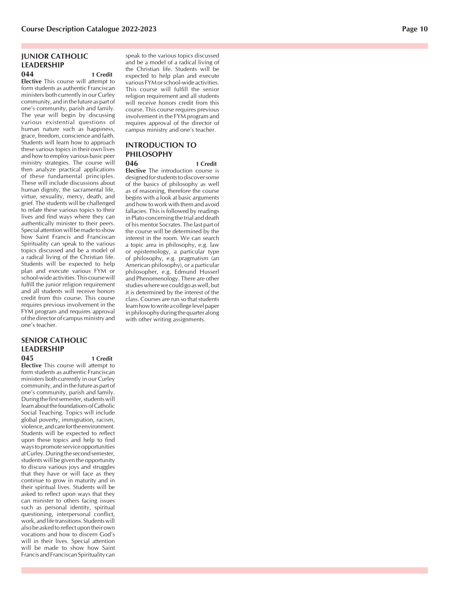#### **JUNIOR CATHOLIC LEADERSHIP 044 1 Credit**

**Elective** This course will attempt to form students as authentic Franciscan ministers both currently in our Curley community, and in the future as part of one's community, parish and family. The year will begin by discussing various existential questions of human nature such as happiness, grace, freedom, conscience and faith. Students will learn how to approach these various topics in their own lives and how to employ various basic peer ministry strategies. The course will then analyze practical applications of these fundamental principles. These will include discussions about human dignity, the sacramental life, virtue, sexuality, mercy, death, and grief. The students will be challenged to relate these various topics to their lives and find ways where they can authentically minister to their peers. Special attention will be made to show how Saint Francis and Franciscan Spirituality can speak to the various topics discussed and be a model of a radical living of the Christian life. Students will be expected to help plan and execute various FYM or school-wide activities. This course will fulfill the junior religion requirement and all students will receive honors credit from this course. This course requires previous involvement in the FYM program and requires approval of the director of campus ministry and one's teacher.

# **SENIOR CATHOLIC LEADERSHIP**

**045 1 Credit Elective** This course will attempt to form students as authentic Franciscan ministers both currently in our Curley community, and in the future as part of one's community, parish and family. During the first semester, students will learn about the foundations of Catholic Social Teaching. Topics will include global poverty, immigration, racism, violence, and care for the environment. Students will be expected to reflect upon these topics and help to find ways to promote service opportunities at Curley. During the second semester, students will be given the opportunity to discuss various joys and struggles that they have or will face as they continue to grow in maturity and in their spiritual lives. Students will be asked to reflect upon ways that they can minister to others facing issues such as personal identity, spiritual questioning, interpersonal conflict, work, and life transitions. Students will also be asked to reflect upon their own vocations and how to discern God's will in their lives. Special attention will be made to show how Saint Francis and Franciscan Spirituality can

speak to the various topics discussed and be a model of a radical living of the Christian life. Students will be expected to help plan and execute various FYM or school-wide activities. This course will fulfill the senior religion requirement and all students will receive honors credit from this course. This course requires previous involvement in the FYM program and requires approval of the director of campus ministry and one's teacher.

### **INTRODUCTION TO PHILOSOPHY**

**046 1 Credit Elective** The introduction course is

designed for students to discover some of the basics of philosophy as well as of reasoning, therefore the course begins with a look at basic arguments and how to work with them and avoid fallacies. This is followed by readings in Plato concerning the trial and death of his mentor Socrates. The last part of the course will be determined by the interest in the room. We can search a topic area in philosophy, e.g. law or epistemology, a particular type of philosophy, e.g. pragmatism (an American philosophy), or a particular philosopher, e.g. Edmund Husserl and Phenomenology. There are other studies where we could go as well, but it is determined by the interest of the class. Courses are run so that students learn how to write a college level paper in philosophy during the quarter along with other writing assignments.